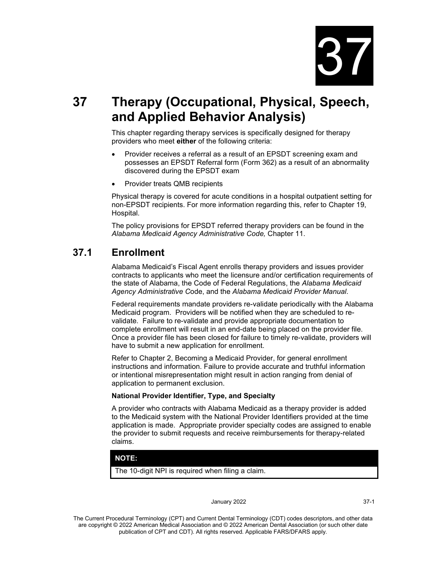

# **37 Therapy (Occupational, Physical, Speech, and Applied Behavior Analysis)**

This chapter regarding therapy services is specifically designed for therapy providers who meet **either** of the following criteria:

- Provider receives a referral as a result of an EPSDT screening exam and possesses an EPSDT Referral form (Form 362) as a result of an abnormality discovered during the EPSDT exam
- Provider treats QMB recipients

Physical therapy is covered for acute conditions in a hospital outpatient setting for non-EPSDT recipients. For more information regarding this, refer to Chapter 19, Hospital.

The policy provisions for EPSDT referred therapy providers can be found in the *Alabama Medicaid Agency Administrative Code,* Chapter 11.

# **37.1 Enrollment**

Alabama Medicaid's Fiscal Agent enrolls therapy providers and issues provider contracts to applicants who meet the licensure and/or certification requirements of the state of Alabama, the Code of Federal Regulations, the *Alabama Medicaid Agency Administrative C*ode, and the *Alabama Medicaid Provider Manual*.

Federal requirements mandate providers re-validate periodically with the Alabama Medicaid program. Providers will be notified when they are scheduled to revalidate. Failure to re-validate and provide appropriate documentation to complete enrollment will result in an end-date being placed on the provider file. Once a provider file has been closed for failure to timely re-validate, providers will have to submit a new application for enrollment.

Refer to Chapter 2, Becoming a Medicaid Provider, for general enrollment instructions and information. Failure to provide accurate and truthful information or intentional misrepresentation might result in action ranging from denial of application to permanent exclusion.

### **National Provider Identifier, Type, and Specialty**

A provider who contracts with Alabama Medicaid as a therapy provider is added to the Medicaid system with the National Provider Identifiers provided at the time application is made. Appropriate provider specialty codes are assigned to enable the provider to submit requests and receive reimbursements for therapy-related claims.

### **NOTE:**

The 10-digit NPI is required when filing a claim.

#### January 2022 37-1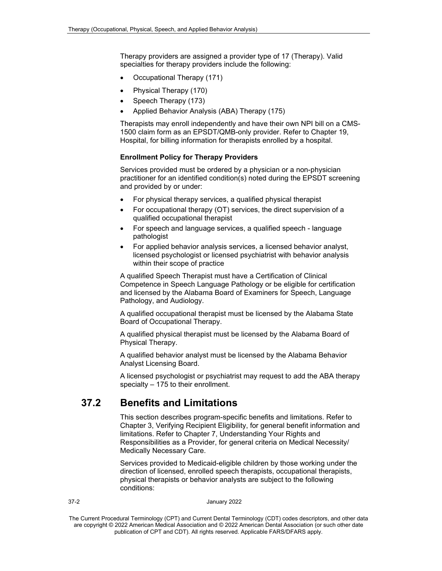Therapy providers are assigned a provider type of 17 (Therapy). Valid specialties for therapy providers include the following:

- Occupational Therapy (171)
- Physical Therapy (170)
- Speech Therapy (173)
- Applied Behavior Analysis (ABA) Therapy (175)

Therapists may enroll independently and have their own NPI bill on a CMS-1500 claim form as an EPSDT/QMB-only provider. Refer to Chapter 19, Hospital, for billing information for therapists enrolled by a hospital.

### **Enrollment Policy for Therapy Providers**

Services provided must be ordered by a physician or a non-physician practitioner for an identified condition(s) noted during the EPSDT screening and provided by or under:

- For physical therapy services, a qualified physical therapist
- For occupational therapy (OT) services, the direct supervision of a qualified occupational therapist
- For speech and language services, a qualified speech language pathologist
- For applied behavior analysis services, a licensed behavior analyst, licensed psychologist or licensed psychiatrist with behavior analysis within their scope of practice

A qualified Speech Therapist must have a Certification of Clinical Competence in Speech Language Pathology or be eligible for certification and licensed by the Alabama Board of Examiners for Speech, Language Pathology, and Audiology.

A qualified occupational therapist must be licensed by the Alabama State Board of Occupational Therapy.

A qualified physical therapist must be licensed by the Alabama Board of Physical Therapy.

A qualified behavior analyst must be licensed by the Alabama Behavior Analyst Licensing Board.

A licensed psychologist or psychiatrist may request to add the ABA therapy specialty – 175 to their enrollment.

# **37.2 Benefits and Limitations**

This section describes program-specific benefits and limitations. Refer to Chapter 3, Verifying Recipient Eligibility, for general benefit information and limitations. Refer to Chapter 7, Understanding Your Rights and Responsibilities as a Provider, for general criteria on Medical Necessity/ Medically Necessary Care.

Services provided to Medicaid-eligible children by those working under the direction of licensed, enrolled speech therapists, occupational therapists, physical therapists or behavior analysts are subject to the following conditions: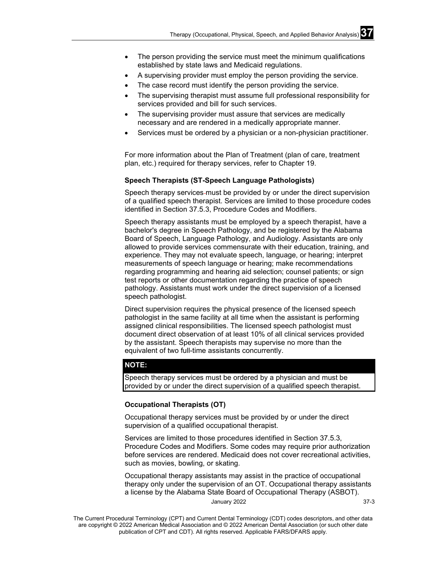- The person providing the service must meet the minimum qualifications established by state laws and Medicaid regulations.
- A supervising provider must employ the person providing the service.
- The case record must identify the person providing the service.
- The supervising therapist must assume full professional responsibility for services provided and bill for such services.
- The supervising provider must assure that services are medically necessary and are rendered in a medically appropriate manner.
- Services must be ordered by a physician or a non-physician practitioner.

For more information about the Plan of Treatment (plan of care, treatment plan, etc.) required for therapy services, refer to Chapter 19.

### **Speech Therapists (ST-Speech Language Pathologists)**

Speech therapy services must be provided by or under the direct supervision of a qualified speech therapist. Services are limited to those procedure codes identified in Section 37.5.3, Procedure Codes and Modifiers.

Speech therapy assistants must be employed by a speech therapist, have a bachelor's degree in Speech Pathology, and be registered by the Alabama Board of Speech, Language Pathology, and Audiology. Assistants are only allowed to provide services commensurate with their education, training, and experience. They may not evaluate speech, language, or hearing; interpret measurements of speech language or hearing; make recommendations regarding programming and hearing aid selection; counsel patients; or sign test reports or other documentation regarding the practice of speech pathology. Assistants must work under the direct supervision of a licensed speech pathologist.

Direct supervision requires the physical presence of the licensed speech pathologist in the same facility at all time when the assistant is performing assigned clinical responsibilities. The licensed speech pathologist must document direct observation of at least 10% of all clinical services provided by the assistant. Speech therapists may supervise no more than the equivalent of two full-time assistants concurrently.

### **NOTE:**

Speech therapy services must be ordered by a physician and must be provided by or under the direct supervision of a qualified speech therapist.

### **Occupational Therapists (OT)**

Occupational therapy services must be provided by or under the direct supervision of a qualified occupational therapist.

Services are limited to those procedures identified in Section 37.5.3, Procedure Codes and Modifiers. Some codes may require prior authorization before services are rendered. Medicaid does not cover recreational activities, such as movies, bowling, or skating.

Occupational therapy assistants may assist in the practice of occupational therapy only under the supervision of an OT. Occupational therapy assistants a license by the Alabama State Board of Occupational Therapy (ASBOT).

January 2022 37-3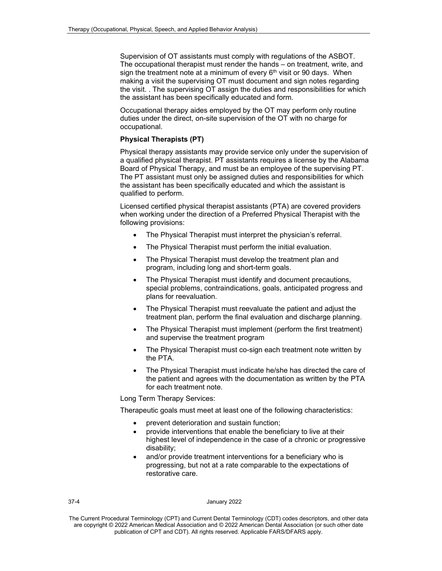Supervision of OT assistants must comply with regulations of the ASBOT. The occupational therapist must render the hands – on treatment, write, and sign the treatment note at a minimum of every  $6<sup>th</sup>$  visit or 90 days. When making a visit the supervising OT must document and sign notes regarding the visit. . The supervising OT assign the duties and responsibilities for which the assistant has been specifically educated and form.

Occupational therapy aides employed by the OT may perform only routine duties under the direct, on-site supervision of the OT with no charge for occupational.

### **Physical Therapists (PT)**

Physical therapy assistants may provide service only under the supervision of a qualified physical therapist. PT assistants requires a license by the Alabama Board of Physical Therapy, and must be an employee of the supervising PT. The PT assistant must only be assigned duties and responsibilities for which the assistant has been specifically educated and which the assistant is qualified to perform.

Licensed certified physical therapist assistants (PTA) are covered providers when working under the direction of a Preferred Physical Therapist with the following provisions:

- The Physical Therapist must interpret the physician's referral.
- The Physical Therapist must perform the initial evaluation.
- The Physical Therapist must develop the treatment plan and program, including long and short-term goals.
- The Physical Therapist must identify and document precautions, special problems, contraindications, goals, anticipated progress and plans for reevaluation.
- The Physical Therapist must reevaluate the patient and adjust the treatment plan, perform the final evaluation and discharge planning.
- The Physical Therapist must implement (perform the first treatment) and supervise the treatment program
- The Physical Therapist must co-sign each treatment note written by the PTA.
- The Physical Therapist must indicate he/she has directed the care of the patient and agrees with the documentation as written by the PTA for each treatment note.

Long Term Therapy Services:

Therapeutic goals must meet at least one of the following characteristics:

- prevent deterioration and sustain function;
- provide interventions that enable the beneficiary to live at their highest level of independence in the case of a chronic or progressive disability;
- and/or provide treatment interventions for a beneficiary who is progressing, but not at a rate comparable to the expectations of restorative care.

### 37-4 January 2022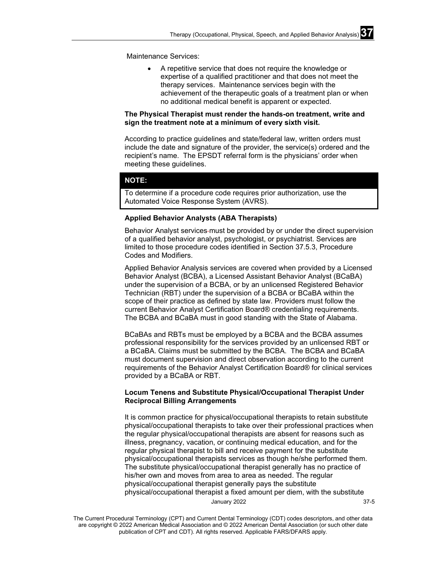Maintenance Services:

• A repetitive service that does not require the knowledge or expertise of a qualified practitioner and that does not meet the therapy services. Maintenance services begin with the achievement of the therapeutic goals of a treatment plan or when no additional medical benefit is apparent or expected.

### **The Physical Therapist must render the hands-on treatment, write and sign the treatment note at a minimum of every sixth visit.**

According to practice guidelines and state/federal law, written orders must include the date and signature of the provider, the service(s) ordered and the recipient's name. The EPSDT referral form is the physicians' order when meeting these guidelines.

### **NOTE:**

To determine if a procedure code requires prior authorization, use the Automated Voice Response System (AVRS).

### **Applied Behavior Analysts (ABA Therapists)**

Behavior Analyst services-must be provided by or under the direct supervision of a qualified behavior analyst, psychologist, or psychiatrist. Services are limited to those procedure codes identified in Section 37.5.3, Procedure Codes and Modifiers.

Applied Behavior Analysis services are covered when provided by a Licensed Behavior Analyst (BCBA), a Licensed Assistant Behavior Analyst (BCaBA) under the supervision of a BCBA, or by an unlicensed Registered Behavior Technician (RBT) under the supervision of a BCBA or BCaBA within the scope of their practice as defined by state law. Providers must follow the current Behavior Analyst Certification Board® credentialing requirements. The BCBA and BCaBA must in good standing with the State of Alabama.

BCaBAs and RBTs must be employed by a BCBA and the BCBA assumes professional responsibility for the services provided by an unlicensed RBT or a BCaBA. Claims must be submitted by the BCBA. The BCBA and BCaBA must document supervision and direct observation according to the current requirements of the Behavior Analyst Certification Board® for clinical services provided by a BCaBA or RBT.

### **Locum Tenens and Substitute Physical/Occupational Therapist Under Reciprocal Billing Arrangements**

January 2022 37-5 It is common practice for physical/occupational therapists to retain substitute physical/occupational therapists to take over their professional practices when the regular physical/occupational therapists are absent for reasons such as illness, pregnancy, vacation, or continuing medical education, and for the regular physical therapist to bill and receive payment for the substitute physical/occupational therapists services as though he/she performed them. The substitute physical/occupational therapist generally has no practice of his/her own and moves from area to area as needed. The regular physical/occupational therapist generally pays the substitute physical/occupational therapist a fixed amount per diem, with the substitute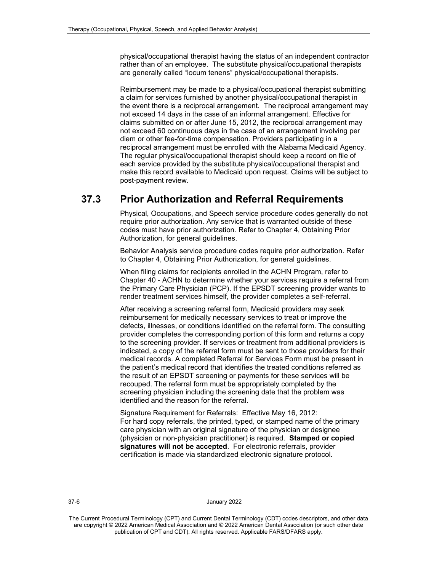physical/occupational therapist having the status of an independent contractor rather than of an employee. The substitute physical/occupational therapists are generally called "locum tenens" physical/occupational therapists.

Reimbursement may be made to a physical/occupational therapist submitting a claim for services furnished by another physical/occupational therapist in the event there is a reciprocal arrangement. The reciprocal arrangement may not exceed 14 days in the case of an informal arrangement. Effective for claims submitted on or after June 15, 2012, the reciprocal arrangement may not exceed 60 continuous days in the case of an arrangement involving per diem or other fee-for-time compensation. Providers participating in a reciprocal arrangement must be enrolled with the Alabama Medicaid Agency. The regular physical/occupational therapist should keep a record on file of each service provided by the substitute physical/occupational therapist and make this record available to Medicaid upon request. Claims will be subject to post-payment review.

# **37.3 Prior Authorization and Referral Requirements**

Physical, Occupations, and Speech service procedure codes generally do not require prior authorization. Any service that is warranted outside of these codes must have prior authorization. Refer to Chapter 4, Obtaining Prior Authorization, for general guidelines.

Behavior Analysis service procedure codes require prior authorization. Refer to Chapter 4, Obtaining Prior Authorization, for general guidelines.

When filing claims for recipients enrolled in the ACHN Program, refer to Chapter 40 - ACHN to determine whether your services require a referral from the Primary Care Physician (PCP). If the EPSDT screening provider wants to render treatment services himself, the provider completes a self-referral.

After receiving a screening referral form, Medicaid providers may seek reimbursement for medically necessary services to treat or improve the defects, illnesses, or conditions identified on the referral form. The consulting provider completes the corresponding portion of this form and returns a copy to the screening provider. If services or treatment from additional providers is indicated, a copy of the referral form must be sent to those providers for their medical records. A completed Referral for Services Form must be present in the patient's medical record that identifies the treated conditions referred as the result of an EPSDT screening or payments for these services will be recouped. The referral form must be appropriately completed by the screening physician including the screening date that the problem was identified and the reason for the referral.

Signature Requirement for Referrals: Effective May 16, 2012: For hard copy referrals, the printed, typed, or stamped name of the primary care physician with an original signature of the physician or designee (physician or non-physician practitioner) is required. **Stamped or copied signatures will not be accepted**. For electronic referrals, provider certification is made via standardized electronic signature protocol.

#### 37-6 January 2022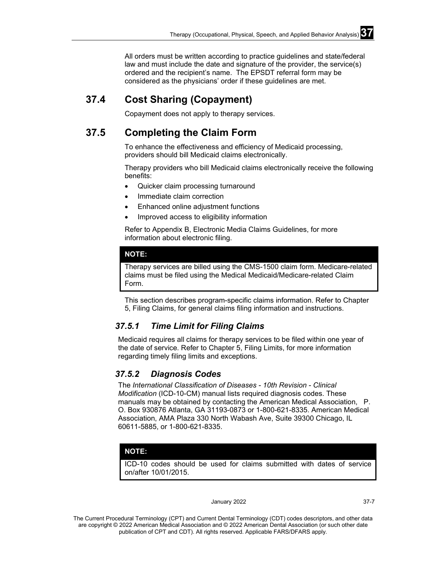All orders must be written according to practice guidelines and state/federal law and must include the date and signature of the provider, the service(s) ordered and the recipient's name. The EPSDT referral form may be considered as the physicians' order if these guidelines are met.

# **37.4 Cost Sharing (Copayment)**

Copayment does not apply to therapy services.

# **37.5 Completing the Claim Form**

To enhance the effectiveness and efficiency of Medicaid processing, providers should bill Medicaid claims electronically.

Therapy providers who bill Medicaid claims electronically receive the following benefits:

- Quicker claim processing turnaround
- Immediate claim correction
- Enhanced online adjustment functions
- Improved access to eligibility information

Refer to Appendix B, Electronic Media Claims Guidelines, for more information about electronic filing.

### **NOTE:**

Therapy services are billed using the CMS-1500 claim form. Medicare-related claims must be filed using the Medical Medicaid/Medicare-related Claim Form.

This section describes program-specific claims information. Refer to Chapter 5, Filing Claims, for general claims filing information and instructions.

### *37.5.1 Time Limit for Filing Claims*

Medicaid requires all claims for therapy services to be filed within one year of the date of service. Refer to Chapter 5, Filing Limits, for more information regarding timely filing limits and exceptions.

### *37.5.2 Diagnosis Codes*

The *International Classification of Diseases - 10th Revision - Clinical Modification* (ICD-10-CM) manual lists required diagnosis codes. These manuals may be obtained by contacting the American Medical Association, P. O. Box 930876 Atlanta, GA 31193-0873 or 1-800-621-8335. American Medical Association, AMA Plaza 330 North Wabash Ave, Suite 39300 Chicago, IL 60611-5885, or 1-800-621-8335.

### **NOTE:**

ICD-10 codes should be used for claims submitted with dates of service on/after 10/01/2015.

#### January 2022 37-7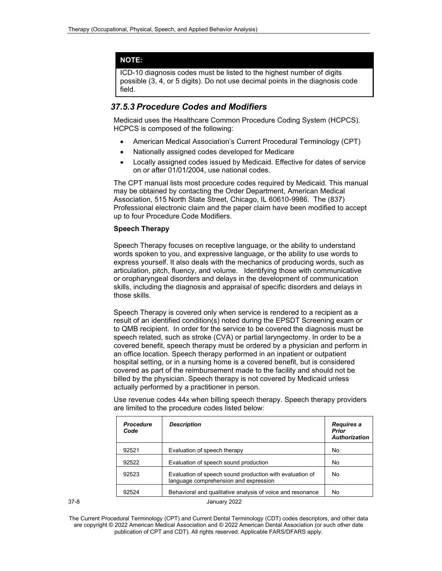### **NOTE:**

ICD-10 diagnosis codes must be listed to the highest number of digits possible (3, 4, or 5 digits). Do not use decimal points in the diagnosis code field.

### *37.5.3 Procedure Codes and Modifiers*

Medicaid uses the Healthcare Common Procedure Coding System (HCPCS). HCPCS is composed of the following:

- American Medical Association's Current Procedural Terminology (CPT)
- Nationally assigned codes developed for Medicare
- Locally assigned codes issued by Medicaid. Effective for dates of service on or after 01/01/2004, use national codes.

The CPT manual lists most procedure codes required by Medicaid. This manual may be obtained by contacting the Order Department, American Medical Association, 515 North State Street, Chicago, IL 60610-9986. The (837) Professional electronic claim and the paper claim have been modified to accept up to four Procedure Code Modifiers.

### **Speech Therapy**

Speech Therapy focuses on receptive language, or the ability to understand words spoken to you, and expressive language, or the ability to use words to express yourself. It also deals with the mechanics of producing words, such as articulation, pitch, fluency, and volume. Identifying those with communicative or oropharyngeal disorders and delays in the development of communication skills, including the diagnosis and appraisal of specific disorders and delays in those skills.

Speech Therapy is covered only when service is rendered to a recipient as a result of an identified condition(s) noted during the EPSDT Screening exam or to QMB recipient. In order for the service to be covered the diagnosis must be speech related, such as stroke (CVA) or partial laryngectomy. In order to be a covered benefit, speech therapy must be ordered by a physician and perform in an office location. Speech therapy performed in an inpatient or outpatient hospital setting, or in a nursing home is a covered benefit, but is considered covered as part of the reimbursement made to the facility and should not be billed by the physician. Speech therapy is not covered by Medicaid unless actually performed by a practitioner in person.

Use revenue codes 44x when billing speech therapy. Speech therapy providers are limited to the procedure codes listed below:

| <b>Procedure</b><br>Code | <b>Description</b>                                                                                | Requires a<br><b>Prior</b><br><b>Authorization</b> |
|--------------------------|---------------------------------------------------------------------------------------------------|----------------------------------------------------|
| 92521                    | Evaluation of speech therapy                                                                      | No                                                 |
| 92522                    | Evaluation of speech sound production                                                             | No                                                 |
| 92523                    | Evaluation of speech sound production with evaluation of<br>language comprehension and expression | No                                                 |
| 92524                    | Behavioral and qualitative analysis of voice and resonance                                        | No                                                 |

| I<br>٠<br>I<br>×<br>۰.<br>۰.<br>× |  |
|-----------------------------------|--|
|-----------------------------------|--|

January 2022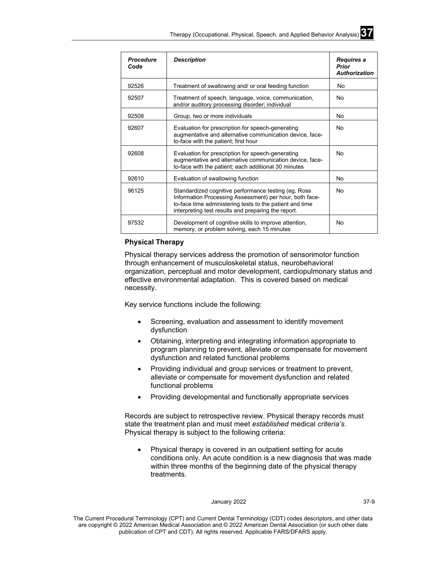| <b>Procedure</b><br>Code | <b>Description</b>                                                                                                                                                                                                                 | Requires a<br>Prior<br><b>Authorization</b> |
|--------------------------|------------------------------------------------------------------------------------------------------------------------------------------------------------------------------------------------------------------------------------|---------------------------------------------|
| 92526                    | Treatment of swallowing and/ or oral feeding function                                                                                                                                                                              | No                                          |
| 92507                    | Treatment of speech, language, voice, communication,<br>and/or auditory processing disorder; individual                                                                                                                            | No                                          |
| 92508                    | Group, two or more individuals                                                                                                                                                                                                     | No                                          |
| 92607                    | Evaluation for prescription for speech-generating<br>augmentative and alternative communication device, face-<br>to-face with the patient; first hour                                                                              | <b>No</b>                                   |
| 92608                    | Evaluation for prescription for speech-generating<br>augmentative and alternative communication device, face-<br>to-face with the patient; each additional 30 minutes                                                              | No.                                         |
| 92610                    | Evaluation of swallowing function                                                                                                                                                                                                  | No.                                         |
| 96125                    | Standardized cognitive performance testing (eg, Ross<br>Information Processing Assessment) per hour, both face-<br>to-face time administering tests to the patient and time<br>interpreting test results and preparing the report. | No                                          |
| 97532                    | Development of cognitive skills to improve attention,<br>memory, or problem solving, each 15 minutes                                                                                                                               | No                                          |

### **Physical Therapy**

Physical therapy services address the promotion of sensorimotor function through enhancement of musculoskeletal status, neurobehavioral organization, perceptual and motor development, cardiopulmonary status and effective environmental adaptation. This is covered based on medical necessity.

Key service functions include the following:

- Screening, evaluation and assessment to identify movement dysfunction
- Obtaining, interpreting and integrating information appropriate to program planning to prevent, alleviate or compensate for movement dysfunction and related functional problems
- Providing individual and group services or treatment to prevent, alleviate or compensate for movement dysfunction and related functional problems
- Providing developmental and functionally appropriate services

Records are subject to retrospective review. Physical therapy records must state the treatment plan and must meet *established* medical *criteria's*. Physical therapy is subject to the following criteria:

• Physical therapy is covered in an outpatient setting for acute conditions only. An acute condition is a new diagnosis that was made within three months of the beginning date of the physical therapy treatments.

### January 2022 37-9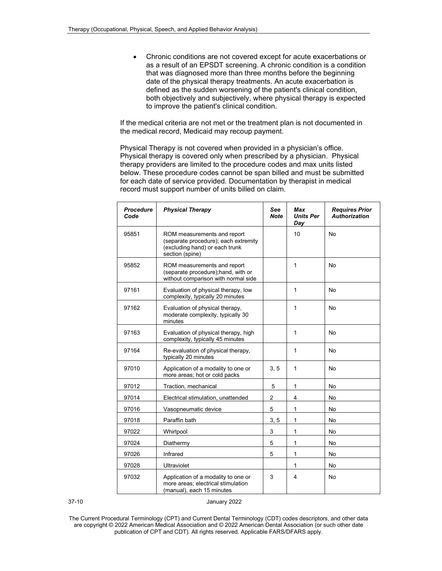• Chronic conditions are not covered except for acute exacerbations or as a result of an EPSDT screening. A chronic condition is a condition that was diagnosed more than three months before the beginning date of the physical therapy treatments. An acute exacerbation is defined as the sudden worsening of the patient's clinical condition, both objectively and subjectively, where physical therapy is expected to improve the patient's clinical condition.

If the medical criteria are not met or the treatment plan is not documented in the medical record, Medicaid may recoup payment.

Physical Therapy is not covered when provided in a physician's office. Physical therapy is covered only when prescribed by a physician. Physical therapy providers are limited to the procedure codes and max units listed below. These procedure codes cannot be span billed and must be submitted for each date of service provided. Documentation by therapist in medical record must support number of units billed on claim.

| <b>Procedure</b><br>Code | <b>Physical Therapy</b>                                                                                                  | See<br><b>Note</b> | Max<br><b>Units Per</b><br>Day | <b>Requires Prior</b><br><b>Authorization</b> |
|--------------------------|--------------------------------------------------------------------------------------------------------------------------|--------------------|--------------------------------|-----------------------------------------------|
| 95851                    | ROM measurements and report<br>(separate procedure); each extremity<br>(excluding hand) or each trunk<br>section (spine) |                    | 10                             | <b>No</b>                                     |
| 95852                    | ROM measurements and report<br>(separate procedure); hand, with or<br>without comparison with normal side                |                    | 1                              | <b>No</b>                                     |
| 97161                    | Evaluation of physical therapy, low<br>complexity, typically 20 minutes                                                  |                    | 1                              | No                                            |
| 97162                    | Evaluation of physical therapy,<br>moderate complexity, typically 30<br>minutes                                          |                    | 1                              | <b>No</b>                                     |
| 97163                    | Evaluation of physical therapy, high<br>complexity, typically 45 minutes                                                 |                    | 1                              | No                                            |
| 97164                    | Re-evaluation of physical therapy,<br>typically 20 minutes                                                               |                    | 1                              | No                                            |
| 97010                    | Application of a modality to one or<br>more areas; hot or cold packs                                                     | 3, 5               | 1                              | No                                            |
| 97012                    | Traction, mechanical                                                                                                     | 5                  | 1                              | No                                            |
| 97014                    | Electrical stimulation, unattended                                                                                       | $\overline{2}$     | 4                              | No                                            |
| 97016                    | Vasopneumatic device                                                                                                     | 5                  | 1                              | No                                            |
| 97018                    | Paraffin bath                                                                                                            | 3, 5               | 1                              | <b>No</b>                                     |
| 97022                    | Whirlpool                                                                                                                | 3                  | 1                              | No                                            |
| 97024                    | Diathermy                                                                                                                | 5                  | 1                              | No                                            |
| 97026                    | Infrared                                                                                                                 | 5                  | $\mathbf{1}$                   | No                                            |
| 97028                    | <b>Ultraviolet</b>                                                                                                       |                    | 1                              | No                                            |
| 97032                    | Application of a modality to one or<br>more areas; electrical stimulation<br>(manual), each 15 minutes                   | 3                  | 4                              | No                                            |

37-10 January 2022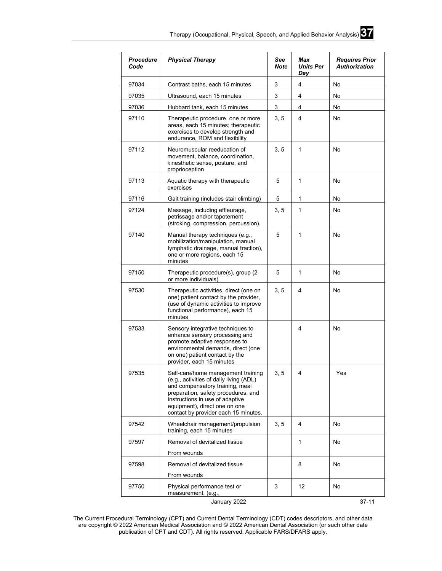

| <b>Procedure</b><br>Code | <b>Physical Therapy</b>                                                                                                                                                                                                                                             | See<br>Note | Max<br><b>Units Per</b><br>Day | <b>Requires Prior</b><br><b>Authorization</b> |
|--------------------------|---------------------------------------------------------------------------------------------------------------------------------------------------------------------------------------------------------------------------------------------------------------------|-------------|--------------------------------|-----------------------------------------------|
| 97034                    | Contrast baths, each 15 minutes                                                                                                                                                                                                                                     | 3           | 4                              | No                                            |
| 97035                    | Ultrasound, each 15 minutes                                                                                                                                                                                                                                         | 3           | 4                              | No                                            |
| 97036                    | Hubbard tank, each 15 minutes                                                                                                                                                                                                                                       | 3           | 4                              | No                                            |
| 97110                    | Therapeutic procedure, one or more<br>areas, each 15 minutes; therapeutic<br>exercises to develop strength and<br>endurance, ROM and flexibility                                                                                                                    | 3, 5        | 4                              | No                                            |
| 97112                    | Neuromuscular reeducation of<br>movement, balance, coordination,<br>kinesthetic sense, posture, and<br>proprioception                                                                                                                                               | 3, 5        | 1                              | No                                            |
| 97113                    | Aquatic therapy with therapeutic<br>exercises                                                                                                                                                                                                                       | 5           | 1                              | No                                            |
| 97116                    | Gait training (includes stair climbing)                                                                                                                                                                                                                             | 5           | 1                              | No                                            |
| 97124                    | Massage, including effleurage,<br>petrissage and/or tapotement<br>(stroking, compression, percussion).                                                                                                                                                              | 3, 5        | 1                              | No                                            |
| 97140                    | Manual therapy techniques (e.g.,<br>mobilization/manipulation, manual<br>lymphatic drainage, manual traction),<br>one or more regions, each 15<br>minutes                                                                                                           | 5           | 1                              | No                                            |
| 97150                    | Therapeutic procedure(s), group (2<br>or more individuals)                                                                                                                                                                                                          | 5           | 1                              | No                                            |
| 97530                    | Therapeutic activities, direct (one on<br>one) patient contact by the provider,<br>(use of dynamic activities to improve<br>functional performance), each 15<br>minutes                                                                                             | 3, 5        | 4                              | No                                            |
| 97533                    | Sensory integrative techniques to<br>enhance sensory processing and<br>promote adaptive responses to<br>environmental demands, direct (one<br>on one) patient contact by the<br>provider, each 15 minutes                                                           |             | 4                              | No                                            |
| 97535                    | Self-care/home management training<br>(e.g., activities of daily living (ADL)<br>and compensatory training, meal<br>preparation, safety procedures, and<br>instructions in use of adaptive<br>equipment), direct one on one<br>contact by provider each 15 minutes. | 3, 5        | 4                              | Yes                                           |
| 97542                    | Wheelchair management/propulsion<br>training, each 15 minutes                                                                                                                                                                                                       | 3, 5        | 4                              | No                                            |
| 97597                    | Removal of devitalized tissue                                                                                                                                                                                                                                       |             | 1                              | No                                            |
|                          | From wounds                                                                                                                                                                                                                                                         |             |                                |                                               |
| 97598                    | Removal of devitalized tissue                                                                                                                                                                                                                                       |             | 8                              | No                                            |
|                          | From wounds                                                                                                                                                                                                                                                         |             |                                |                                               |
| 97750                    | Physical performance test or<br>measurement, (e.g.,<br>January 2022                                                                                                                                                                                                 | 3           | $12 \overline{ }$              | No<br>37-11                                   |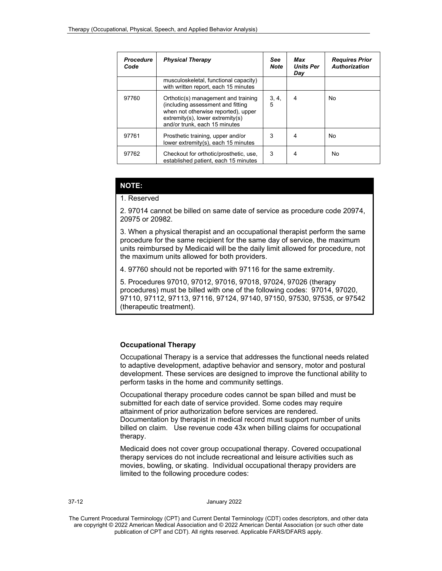| <b>Procedure</b><br>Code | <b>Physical Therapy</b>                                                                                                                                                                 | <b>See</b><br><b>Note</b> | Max<br><b>Units Per</b><br>Day | <b>Requires Prior</b><br><b>Authorization</b> |
|--------------------------|-----------------------------------------------------------------------------------------------------------------------------------------------------------------------------------------|---------------------------|--------------------------------|-----------------------------------------------|
|                          | musculoskeletal, functional capacity)<br>with written report, each 15 minutes                                                                                                           |                           |                                |                                               |
| 97760                    | Orthotic(s) management and training<br>(including assessment and fitting<br>when not otherwise reported), upper<br>$extremity(s)$ , lower extremity(s)<br>and/or trunk, each 15 minutes | 3, 4,<br>5                | 4                              | No                                            |
| 97761                    | Prosthetic training, upper and/or<br>lower extremity(s), each 15 minutes                                                                                                                | 3                         | 4                              | No                                            |
| 97762                    | Checkout for orthotic/prosthetic, use,<br>established patient, each 15 minutes                                                                                                          | 3                         | 4                              | No                                            |

### **NOTE:**

#### 1. Reserved

2. 97014 cannot be billed on same date of service as procedure code 20974, 20975 or 20982.

3. When a physical therapist and an occupational therapist perform the same procedure for the same recipient for the same day of service, the maximum units reimbursed by Medicaid will be the daily limit allowed for procedure, not the maximum units allowed for both providers.

4. 97760 should not be reported with 97116 for the same extremity.

5. Procedures 97010, 97012, 97016, 97018, 97024, 97026 (therapy procedures) must be billed with one of the following codes: 97014, 97020, 97110, 97112, 97113, 97116, 97124, 97140, 97150, 97530, 97535, or 97542 (therapeutic treatment).

### **Occupational Therapy**

Occupational Therapy is a service that addresses the functional needs related to adaptive development, adaptive behavior and sensory, motor and postural development. These services are designed to improve the functional ability to perform tasks in the home and community settings.

Occupational therapy procedure codes cannot be span billed and must be submitted for each date of service provided. Some codes may require attainment of prior authorization before services are rendered. Documentation by therapist in medical record must support number of units billed on claim. Use revenue code 43x when billing claims for occupational therapy.

Medicaid does not cover group occupational therapy. Covered occupational therapy services do not include recreational and leisure activities such as movies, bowling, or skating. Individual occupational therapy providers are limited to the following procedure codes:

#### 37-12 January 2022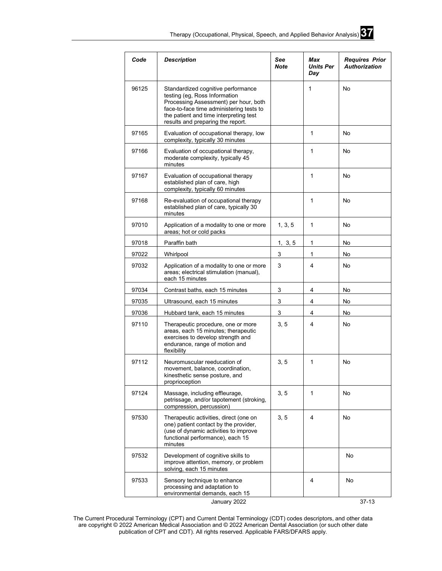

| Code  | <b>Description</b>                                                                                                                                                                                                                      | See<br><b>Note</b> | Max<br><b>Units Per</b><br>Day | <b>Requires Prior</b><br><b>Authorization</b> |
|-------|-----------------------------------------------------------------------------------------------------------------------------------------------------------------------------------------------------------------------------------------|--------------------|--------------------------------|-----------------------------------------------|
| 96125 | Standardized cognitive performance<br>testing (eg, Ross Information<br>Processing Assessment) per hour, both<br>face-to-face time administering tests to<br>the patient and time interpreting test<br>results and preparing the report. |                    | $\mathbf{1}$                   | No                                            |
| 97165 | Evaluation of occupational therapy, low<br>complexity, typically 30 minutes                                                                                                                                                             |                    | $\mathbf{1}$                   | No                                            |
| 97166 | Evaluation of occupational therapy,<br>moderate complexity, typically 45<br>minutes                                                                                                                                                     |                    | 1                              | No                                            |
| 97167 | Evaluation of occupational therapy<br>established plan of care, high<br>complexity, typically 60 minutes                                                                                                                                |                    | 1                              | No                                            |
| 97168 | Re-evaluation of occupational therapy<br>established plan of care, typically 30<br>minutes                                                                                                                                              |                    | $\mathbf{1}$                   | No                                            |
| 97010 | Application of a modality to one or more<br>areas; hot or cold packs                                                                                                                                                                    | 1, 3, 5            | 1                              | No                                            |
| 97018 | Paraffin bath                                                                                                                                                                                                                           | 1, 3, 5            | 1                              | No                                            |
| 97022 | Whirlpool                                                                                                                                                                                                                               | 3                  | 1                              | No                                            |
| 97032 | Application of a modality to one or more<br>areas; electrical stimulation (manual),<br>each 15 minutes                                                                                                                                  | 3                  | 4                              | No                                            |
| 97034 | Contrast baths, each 15 minutes                                                                                                                                                                                                         | 3                  | 4                              | No                                            |
| 97035 | Ultrasound, each 15 minutes                                                                                                                                                                                                             | 3                  | 4                              | No                                            |
| 97036 | Hubbard tank, each 15 minutes                                                                                                                                                                                                           | 3                  | 4                              | No                                            |
| 97110 | Therapeutic procedure, one or more<br>areas, each 15 minutes; therapeutic<br>exercises to develop strength and<br>endurance, range of motion and<br>flexibility                                                                         | 3, 5               | 4                              | No                                            |
| 97112 | Neuromuscular reeducation of<br>movement, balance, coordination,<br>kinesthetic sense posture, and<br>proprioception                                                                                                                    | 3, 5               | 1                              | No                                            |
| 97124 | Massage, including effleurage,<br>petrissage, and/or tapotement (stroking,<br>compression, percussion)                                                                                                                                  | 3, 5               | $\mathbf{1}$                   | No                                            |
| 97530 | Therapeutic activities, direct (one on<br>one) patient contact by the provider,<br>(use of dynamic activities to improve<br>functional performance), each 15<br>minutes                                                                 | 3, 5               | 4                              | No                                            |
| 97532 | Development of cognitive skills to<br>improve attention, memory, or problem<br>solving, each 15 minutes                                                                                                                                 |                    |                                | No                                            |
| 97533 | Sensory technique to enhance<br>processing and adaptation to<br>environmental demands, each 15                                                                                                                                          |                    | 4                              | No                                            |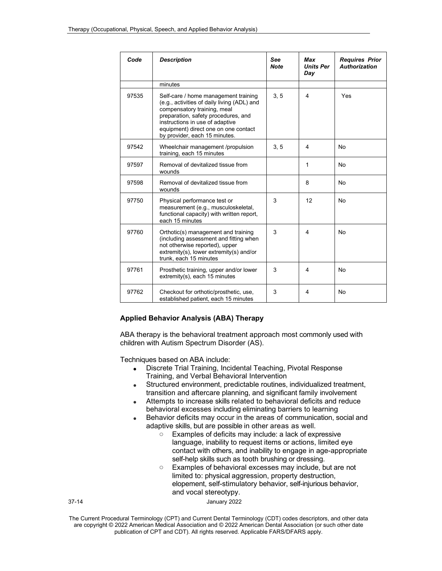| Code  | <b>Description</b>                                                                                                                                                                                                                                                    | See<br><b>Note</b> | Max<br><b>Units Per</b><br>Day | <b>Requires Prior</b><br><b>Authorization</b> |
|-------|-----------------------------------------------------------------------------------------------------------------------------------------------------------------------------------------------------------------------------------------------------------------------|--------------------|--------------------------------|-----------------------------------------------|
|       | minutes                                                                                                                                                                                                                                                               |                    |                                |                                               |
| 97535 | Self-care / home management training<br>(e.g., activities of daily living (ADL) and<br>compensatory training, meal<br>preparation, safety procedures, and<br>instructions in use of adaptive<br>equipment) direct one on one contact<br>by provider, each 15 minutes. | 3, 5               | $\overline{4}$                 | Yes                                           |
| 97542 | Wheelchair management /propulsion<br>training, each 15 minutes                                                                                                                                                                                                        | 3, 5               | 4                              | No                                            |
| 97597 | Removal of devitalized tissue from<br>wounds                                                                                                                                                                                                                          |                    | 1                              | <b>No</b>                                     |
| 97598 | Removal of devitalized tissue from<br>wounds                                                                                                                                                                                                                          |                    | 8                              | <b>No</b>                                     |
| 97750 | Physical performance test or<br>measurement (e.g., musculoskeletal,<br>functional capacity) with written report,<br>each 15 minutes                                                                                                                                   | 3                  | 12                             | No                                            |
| 97760 | Orthotic(s) management and training<br>(including assessment and fitting when<br>not otherwise reported), upper<br>extremity(s), lower extremity(s) and/or<br>trunk, each 15 minutes                                                                                  | 3                  | 4                              | No                                            |
| 97761 | Prosthetic training, upper and/or lower<br>extremity(s), each 15 minutes                                                                                                                                                                                              | 3                  | 4                              | No                                            |
| 97762 | Checkout for orthotic/prosthetic, use,<br>established patient, each 15 minutes                                                                                                                                                                                        | 3                  | $\overline{4}$                 | <b>No</b>                                     |

### **Applied Behavior Analysis (ABA) Therapy**

ABA therapy is the behavioral treatment approach most commonly used with children with Autism Spectrum Disorder (AS).

Techniques based on ABA include:

- Discrete Trial Training, Incidental Teaching, Pivotal Response Training, and Verbal Behavioral Intervention
- Structured environment, predictable routines, individualized treatment, transition and aftercare planning, and significant family involvement
- Attempts to increase skills related to behavioral deficits and reduce behavioral excesses including eliminating barriers to learning
- Behavior deficits may occur in the areas of communication, social and adaptive skills, but are possible in other areas as well.
	- o Examples of deficits may include: a lack of expressive language, inability to request items or actions, limited eye contact with others, and inability to engage in age-appropriate self-help skills such as tooth brushing or dressing.
	- o Examples of behavioral excesses may include, but are not limited to: physical aggression, property destruction, elopement, self-stimulatory behavior, self-injurious behavior, and vocal stereotypy.

37-14 January 2022

The Current Procedural Terminology (CPT) and Current Dental Terminology (CDT) codes descriptors, and other data are copyright © 2022 American Medical Association and © 2022 American Dental Association (or such other date publication of CPT and CDT). All rights reserved. Applicable FARS/DFARS apply*.*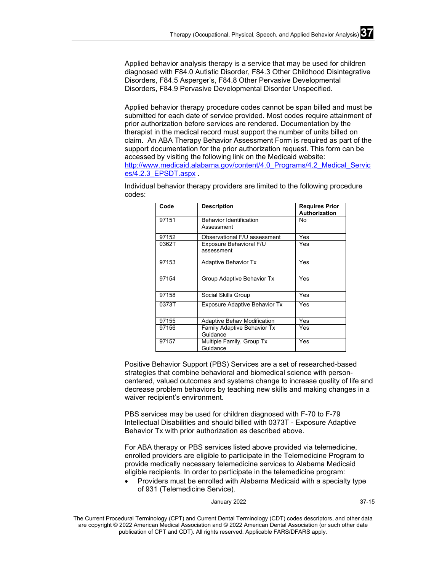Applied behavior analysis therapy is a service that may be used for children diagnosed with F84.0 Autistic Disorder, F84.3 Other Childhood Disintegrative Disorders, F84.5 Asperger's, F84.8 Other Pervasive Developmental Disorders, F84.9 Pervasive Developmental Disorder Unspecified.

Applied behavior therapy procedure codes cannot be span billed and must be submitted for each date of service provided. Most codes require attainment of prior authorization before services are rendered. Documentation by the therapist in the medical record must support the number of units billed on claim. An ABA Therapy Behavior Assessment Form is required as part of the support documentation for the prior authorization request. This form can be accessed by visiting the following link on the Medicaid website: [http://www.medicaid.alabama.gov/content/4.0\\_Programs/4.2\\_Medical\\_Servic](http://www.medicaid.alabama.gov/content/4.0_Programs/4.2_Medical_Services/4.2.3_EPSDT.aspx) [es/4.2.3\\_EPSDT.aspx](http://www.medicaid.alabama.gov/content/4.0_Programs/4.2_Medical_Services/4.2.3_EPSDT.aspx) .

Individual behavior therapy providers are limited to the following procedure codes:

| Code  | <b>Description</b>                             | <b>Requires Prior</b><br><b>Authorization</b> |
|-------|------------------------------------------------|-----------------------------------------------|
| 97151 | <b>Behavior Identification</b><br>Assessment   | No                                            |
| 97152 | Observational F/U assessment                   | Yes                                           |
| 0362T | Exposure Behavioral F/U<br>assessment          | Yes                                           |
| 97153 | <b>Adaptive Behavior Tx</b>                    | Yes                                           |
| 97154 | Group Adaptive Behavior Tx                     | Yes                                           |
| 97158 | Social Skills Group                            | Yes                                           |
| 0373T | <b>Exposure Adaptive Behavior Tx</b>           | Yes                                           |
| 97155 | <b>Adaptive Behav Modification</b>             | Yes                                           |
| 97156 | <b>Family Adaptive Behavior Tx</b><br>Guidance | Yes                                           |
| 97157 | Multiple Family, Group Tx<br>Guidance          | Yes                                           |

Positive Behavior Support (PBS) Services are a set of researched-based strategies that combine behavioral and biomedical science with personcentered, valued outcomes and systems change to increase quality of life and decrease problem behaviors by teaching new skills and making changes in a waiver recipient's environment.

PBS services may be used for children diagnosed with F-70 to F-79 Intellectual Disabilities and should billed with 0373T - Exposure Adaptive Behavior Tx with prior authorization as described above.

For ABA therapy or PBS services listed above provided via telemedicine, enrolled providers are eligible to participate in the Telemedicine Program to provide medically necessary telemedicine services to Alabama Medicaid eligible recipients. In order to participate in the telemedicine program:

• Providers must be enrolled with Alabama Medicaid with a specialty type of 931 (Telemedicine Service).

January 2022 37-15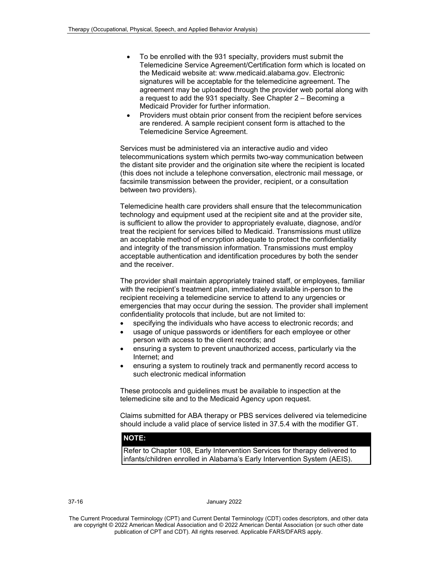- To be enrolled with the 931 specialty, providers must submit the Telemedicine Service Agreement/Certification form which is located on the Medicaid website at: www.medicaid.alabama.gov. Electronic signatures will be acceptable for the telemedicine agreement. The agreement may be uploaded through the provider web portal along with a request to add the 931 specialty. See Chapter 2 – Becoming a Medicaid Provider for further information.
- Providers must obtain prior consent from the recipient before services are rendered. A sample recipient consent form is attached to the Telemedicine Service Agreement.

Services must be administered via an interactive audio and video telecommunications system which permits two-way communication between the distant site provider and the origination site where the recipient is located (this does not include a telephone conversation, electronic mail message, or facsimile transmission between the provider, recipient, or a consultation between two providers).

Telemedicine health care providers shall ensure that the telecommunication technology and equipment used at the recipient site and at the provider site, is sufficient to allow the provider to appropriately evaluate, diagnose, and/or treat the recipient for services billed to Medicaid. Transmissions must utilize an acceptable method of encryption adequate to protect the confidentiality and integrity of the transmission information. Transmissions must employ acceptable authentication and identification procedures by both the sender and the receiver.

The provider shall maintain appropriately trained staff, or employees, familiar with the recipient's treatment plan, immediately available in-person to the recipient receiving a telemedicine service to attend to any urgencies or emergencies that may occur during the session. The provider shall implement confidentiality protocols that include, but are not limited to:

- specifying the individuals who have access to electronic records; and
- usage of unique passwords or identifiers for each employee or other person with access to the client records; and
- ensuring a system to prevent unauthorized access, particularly via the Internet; and
- ensuring a system to routinely track and permanently record access to such electronic medical information

These protocols and guidelines must be available to inspection at the telemedicine site and to the Medicaid Agency upon request.

Claims submitted for ABA therapy or PBS services delivered via telemedicine should include a valid place of service listed in 37.5.4 with the modifier GT.

### **NOTE:**

Refer to Chapter 108, Early Intervention Services for therapy delivered to infants/children enrolled in Alabama's Early Intervention System (AEIS).

### 37-16 January 2022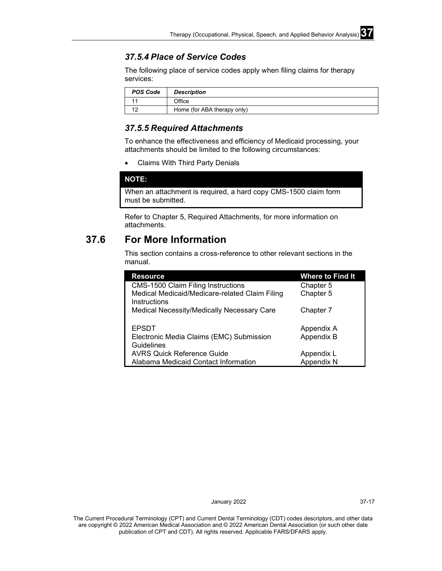### *37.5.4 Place of Service Codes*

The following place of service codes apply when filing claims for therapy services:

| <b>POS Code</b> | <b>Description</b>          |
|-----------------|-----------------------------|
|                 | Office                      |
| 10              | Home (for ABA therapy only) |

### *37.5.5 Required Attachments*

To enhance the effectiveness and efficiency of Medicaid processing, your attachments should be limited to the following circumstances:

• Claims With Third Party Denials

**NOTE:**

When an attachment is required, a hard copy CMS-1500 claim form must be submitted.

Refer to Chapter 5, Required Attachments, for more information on attachments.

# **37.6 For More Information**

This section contains a cross-reference to other relevant sections in the manual.

| <b>Resource</b>                                                | <b>Where to Find It</b> |
|----------------------------------------------------------------|-------------------------|
| <b>CMS-1500 Claim Filing Instructions</b>                      | Chapter 5               |
| Medical Medicaid/Medicare-related Claim Filing<br>Instructions | Chapter 5               |
| Medical Necessity/Medically Necessary Care                     | Chapter 7               |
| <b>EPSDT</b>                                                   | Appendix A              |
| Electronic Media Claims (EMC) Submission<br>Guidelines         | Appendix B              |
| <b>AVRS Quick Reference Guide</b>                              | Appendix L              |
| Alabama Medicaid Contact Information                           | Appendix N              |

January 2022 37-17